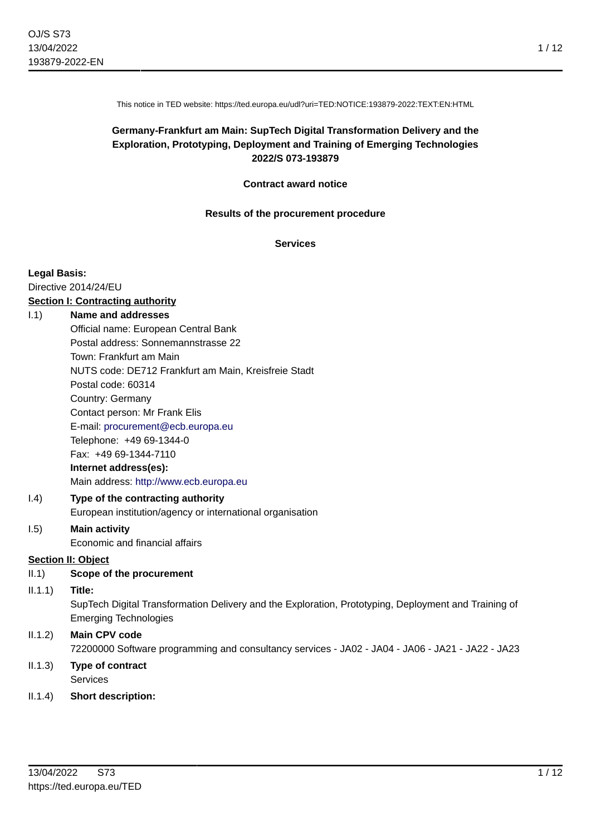This notice in TED website: https://ted.europa.eu/udl?uri=TED:NOTICE:193879-2022:TEXT:EN:HTML

## **Germany-Frankfurt am Main: SupTech Digital Transformation Delivery and the Exploration, Prototyping, Deployment and Training of Emerging Technologies 2022/S 073-193879**

#### **Contract award notice**

#### **Results of the procurement procedure**

**Services**

#### **Legal Basis:**

Directive 2014/24/EU

# **Section I: Contracting authority**

## I.1) **Name and addresses**

Official name: European Central Bank Postal address: Sonnemannstrasse 22 Town: Frankfurt am Main NUTS code: DE712 Frankfurt am Main, Kreisfreie Stadt Postal code: 60314 Country: Germany Contact person: Mr Frank Elis E-mail: [procurement@ecb.europa.eu](mailto:procurement@ecb.europa.eu) Telephone: +49 69-1344-0 Fax: +49 69-1344-7110 **Internet address(es):** Main address:<http://www.ecb.europa.eu>

## I.4) **Type of the contracting authority** European institution/agency or international organisation

#### I.5) **Main activity** Economic and financial affairs

### **Section II: Object**

- II.1) **Scope of the procurement**
- II.1.1) **Title:**

SupTech Digital Transformation Delivery and the Exploration, Prototyping, Deployment and Training of Emerging Technologies

## II.1.2) **Main CPV code** 72200000 Software programming and consultancy services - JA02 - JA04 - JA06 - JA21 - JA22 - JA23

- II.1.3) **Type of contract** Services
- II.1.4) **Short description:**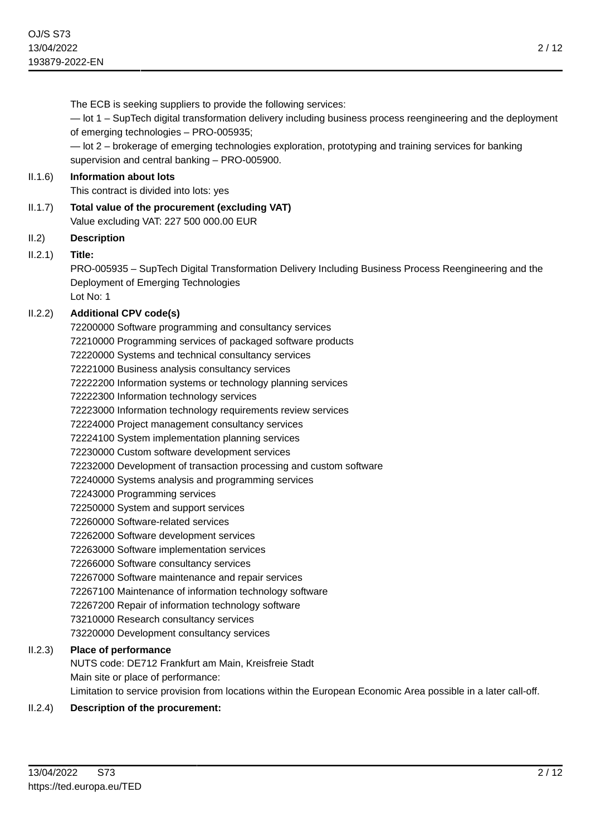The ECB is seeking suppliers to provide the following services: — lot 1 – SupTech digital transformation delivery including business process reengineering and the deployment of emerging technologies – PRO-005935; — lot 2 – brokerage of emerging technologies exploration, prototyping and training services for banking supervision and central banking – PRO-005900. II.1.6) **Information about lots** This contract is divided into lots: yes II.1.7) **Total value of the procurement (excluding VAT)** Value excluding VAT: 227 500 000.00 EUR II.2) **Description** II.2.1) **Title:** PRO-005935 – SupTech Digital Transformation Delivery Including Business Process Reengineering and the Deployment of Emerging Technologies Lot No: 1 II.2.2) **Additional CPV code(s)** 72200000 Software programming and consultancy services 72210000 Programming services of packaged software products 72220000 Systems and technical consultancy services 72221000 Business analysis consultancy services 72222200 Information systems or technology planning services 72222300 Information technology services 72223000 Information technology requirements review services 72224000 Project management consultancy services 72224100 System implementation planning services 72230000 Custom software development services 72232000 Development of transaction processing and custom software 72240000 Systems analysis and programming services 72243000 Programming services 72250000 System and support services 72260000 Software-related services 72262000 Software development services 72263000 Software implementation services 72266000 Software consultancy services 72267000 Software maintenance and repair services 72267100 Maintenance of information technology software 72267200 Repair of information technology software 73210000 Research consultancy services 73220000 Development consultancy services II.2.3) **Place of performance** NUTS code: DE712 Frankfurt am Main, Kreisfreie Stadt Main site or place of performance: Limitation to service provision from locations within the European Economic Area possible in a later call-off. II.2.4) **Description of the procurement:**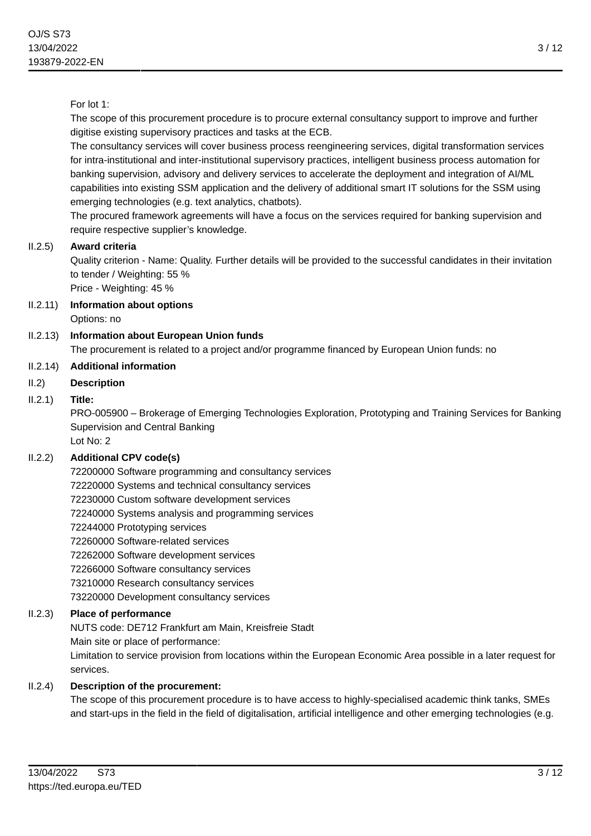## For lot 1:

The scope of this procurement procedure is to procure external consultancy support to improve and further digitise existing supervisory practices and tasks at the ECB.

The consultancy services will cover business process reengineering services, digital transformation services for intra-institutional and inter-institutional supervisory practices, intelligent business process automation for banking supervision, advisory and delivery services to accelerate the deployment and integration of AI/ML capabilities into existing SSM application and the delivery of additional smart IT solutions for the SSM using emerging technologies (e.g. text analytics, chatbots).

The procured framework agreements will have a focus on the services required for banking supervision and require respective supplier's knowledge.

### II.2.5) **Award criteria**

Quality criterion - Name: Quality. Further details will be provided to the successful candidates in their invitation to tender / Weighting: 55 %

Price - Weighting: 45 %

II.2.11) **Information about options**

Options: no

II.2.13) **Information about European Union funds**

The procurement is related to a project and/or programme financed by European Union funds: no

### II.2.14) **Additional information**

II.2) **Description**

### II.2.1) **Title:**

PRO-005900 – Brokerage of Emerging Technologies Exploration, Prototyping and Training Services for Banking Supervision and Central Banking Lot No: 2

## II.2.2) **Additional CPV code(s)**

72200000 Software programming and consultancy services 72220000 Systems and technical consultancy services 72230000 Custom software development services 72240000 Systems analysis and programming services 72244000 Prototyping services 72260000 Software-related services 72262000 Software development services 72266000 Software consultancy services 73210000 Research consultancy services 73220000 Development consultancy services

### II.2.3) **Place of performance**

NUTS code: DE712 Frankfurt am Main, Kreisfreie Stadt

Main site or place of performance:

Limitation to service provision from locations within the European Economic Area possible in a later request for services.

### II.2.4) **Description of the procurement:**

The scope of this procurement procedure is to have access to highly-specialised academic think tanks, SMEs and start-ups in the field in the field of digitalisation, artificial intelligence and other emerging technologies (e.g.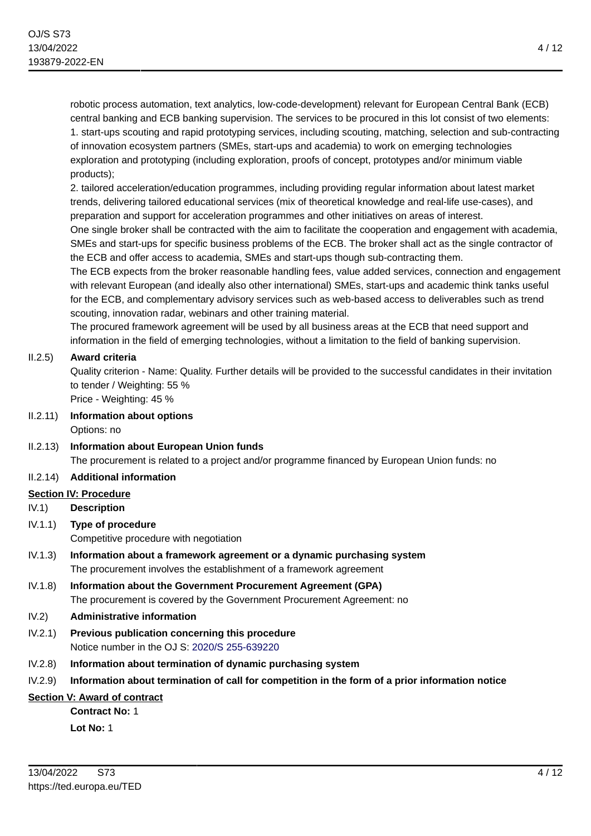robotic process automation, text analytics, low-code-development) relevant for European Central Bank (ECB) central banking and ECB banking supervision. The services to be procured in this lot consist of two elements: 1. start-ups scouting and rapid prototyping services, including scouting, matching, selection and sub-contracting of innovation ecosystem partners (SMEs, start-ups and academia) to work on emerging technologies exploration and prototyping (including exploration, proofs of concept, prototypes and/or minimum viable products);

2. tailored acceleration/education programmes, including providing regular information about latest market trends, delivering tailored educational services (mix of theoretical knowledge and real-life use-cases), and preparation and support for acceleration programmes and other initiatives on areas of interest.

One single broker shall be contracted with the aim to facilitate the cooperation and engagement with academia, SMEs and start-ups for specific business problems of the ECB. The broker shall act as the single contractor of the ECB and offer access to academia, SMEs and start-ups though sub-contracting them.

The ECB expects from the broker reasonable handling fees, value added services, connection and engagement with relevant European (and ideally also other international) SMEs, start-ups and academic think tanks useful for the ECB, and complementary advisory services such as web-based access to deliverables such as trend scouting, innovation radar, webinars and other training material.

The procured framework agreement will be used by all business areas at the ECB that need support and information in the field of emerging technologies, without a limitation to the field of banking supervision.

## II.2.5) **Award criteria**

Quality criterion - Name: Quality. Further details will be provided to the successful candidates in their invitation to tender / Weighting: 55 %

Price - Weighting: 45 %

II.2.11) **Information about options** Options: no

II.2.13) **Information about European Union funds** The procurement is related to a project and/or programme financed by European Union funds: no

## II.2.14) **Additional information**

### **Section IV: Procedure**

- IV.1) **Description**
- IV.1.1) **Type of procedure** Competitive procedure with negotiation
- IV.1.3) **Information about a framework agreement or a dynamic purchasing system** The procurement involves the establishment of a framework agreement
- IV.1.8) **Information about the Government Procurement Agreement (GPA)** The procurement is covered by the Government Procurement Agreement: no

## IV.2) **Administrative information**

- IV.2.1) **Previous publication concerning this procedure** Notice number in the OJ S: [2020/S 255-639220](https://ted.europa.eu/udl?uri=TED:NOTICE:639220-2020:TEXT:EN:HTML)
- IV.2.8) **Information about termination of dynamic purchasing system**

## IV.2.9) **Information about termination of call for competition in the form of a prior information notice**

## **Section V: Award of contract**

**Contract No:** 1 **Lot No:** 1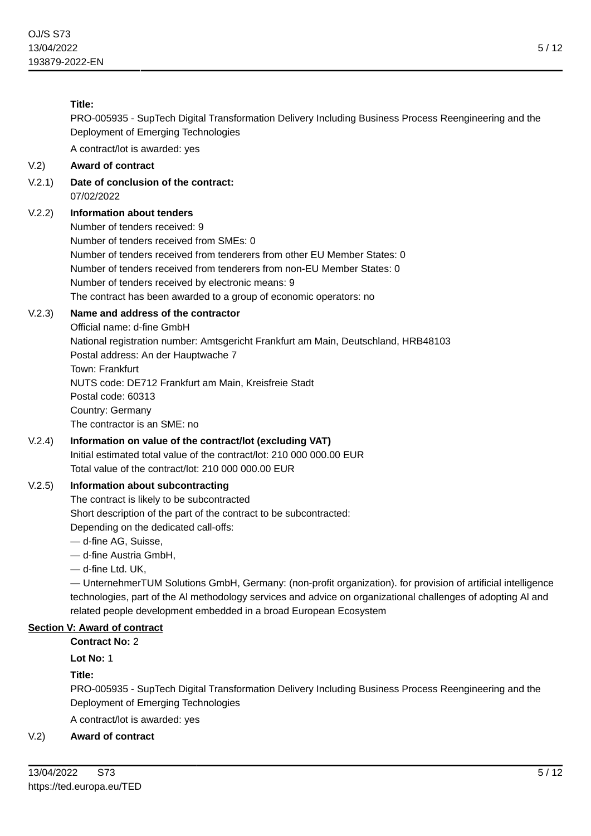## **Title:**

PRO-005935 - SupTech Digital Transformation Delivery Including Business Process Reengineering and the Deployment of Emerging Technologies

A contract/lot is awarded: yes

## V.2) **Award of contract**

V.2.1) **Date of conclusion of the contract:** 07/02/2022

## V.2.2) **Information about tenders**

Number of tenders received: 9 Number of tenders received from SMEs: 0 Number of tenders received from tenderers from other EU Member States: 0 Number of tenders received from tenderers from non-EU Member States: 0 Number of tenders received by electronic means: 9 The contract has been awarded to a group of economic operators: no

### V.2.3) **Name and address of the contractor**

Official name: d-fine GmbH National registration number: Amtsgericht Frankfurt am Main, Deutschland, HRB48103 Postal address: An der Hauptwache 7 Town: Frankfurt NUTS code: DE712 Frankfurt am Main, Kreisfreie Stadt Postal code: 60313 Country: Germany The contractor is an SME: no

### V.2.4) **Information on value of the contract/lot (excluding VAT)** Initial estimated total value of the contract/lot: 210 000 000.00 EUR Total value of the contract/lot: 210 000 000.00 EUR

## V.2.5) **Information about subcontracting**

The contract is likely to be subcontracted Short description of the part of the contract to be subcontracted: Depending on the dedicated call-offs:

— d-fine AG, Suisse,

— d-fine Austria GmbH,

— d-fine Ltd. UK,

— UnternehmerTUM Solutions GmbH, Germany: (non-profit organization). for provision of artificial intelligence technologies, part of the Al methodology services and advice on organizational challenges of adopting Al and related people development embedded in a broad European Ecosystem

## **Section V: Award of contract**

**Contract No:** 2

**Lot No:** 1

**Title:**

PRO-005935 - SupTech Digital Transformation Delivery Including Business Process Reengineering and the Deployment of Emerging Technologies

A contract/lot is awarded: yes

## V.2) **Award of contract**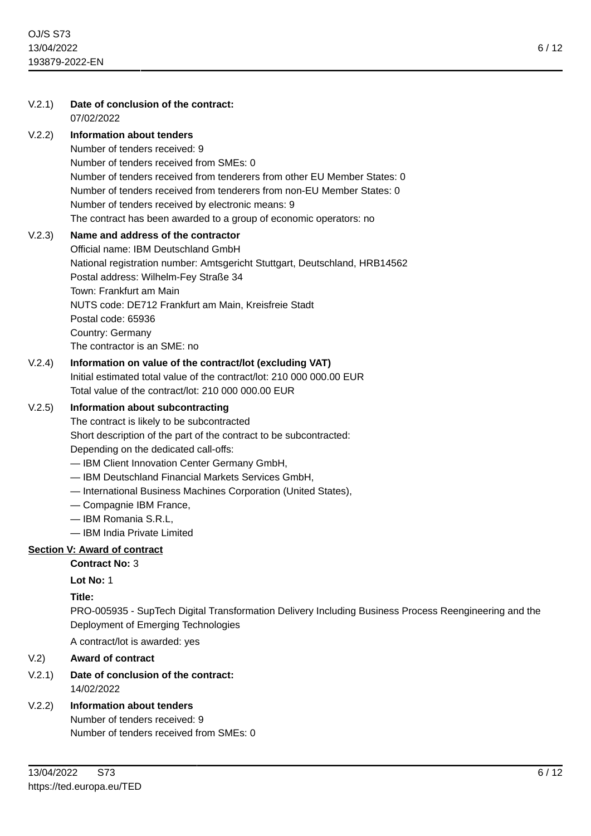| V.2.1) | Date of conclusion of the contract:<br>07/02/2022                                                                                                                                                                                                                                                                                                                                             |
|--------|-----------------------------------------------------------------------------------------------------------------------------------------------------------------------------------------------------------------------------------------------------------------------------------------------------------------------------------------------------------------------------------------------|
| V.2.2) | <b>Information about tenders</b><br>Number of tenders received: 9<br>Number of tenders received from SMEs: 0<br>Number of tenders received from tenderers from other EU Member States: 0<br>Number of tenders received from tenderers from non-EU Member States: 0<br>Number of tenders received by electronic means: 9<br>The contract has been awarded to a group of economic operators: no |
| V.2.3) | Name and address of the contractor<br>Official name: IBM Deutschland GmbH<br>National registration number: Amtsgericht Stuttgart, Deutschland, HRB14562<br>Postal address: Wilhelm-Fey Straße 34<br>Town: Frankfurt am Main<br>NUTS code: DE712 Frankfurt am Main, Kreisfreie Stadt<br>Postal code: 65936<br>Country: Germany<br>The contractor is an SME: no                                 |
| V.2.4) | Information on value of the contract/lot (excluding VAT)<br>Initial estimated total value of the contract/lot: 210 000 000.00 EUR<br>Total value of the contract/lot: 210 000 000.00 EUR                                                                                                                                                                                                      |
| V.2.5) | Information about subcontracting<br>The contract is likely to be subcontracted<br>Short description of the part of the contract to be subcontracted:<br>Depending on the dedicated call-offs:<br>- IBM Client Innovation Center Germany GmbH,                                                                                                                                                 |

- IBM Deutschland Financial Markets Services GmbH,
- International Business Machines Corporation (United States),
- Compagnie IBM France,
- IBM Romania S.R.L,
- IBM India Private Limited

## **Section V: Award of contract**

# **Contract No:** 3

**Lot No:** 1

## **Title:**

PRO-005935 - SupTech Digital Transformation Delivery Including Business Process Reengineering and the Deployment of Emerging Technologies

A contract/lot is awarded: yes

# V.2) **Award of contract**

V.2.1) **Date of conclusion of the contract:** 14/02/2022

# V.2.2) **Information about tenders**

Number of tenders received: 9 Number of tenders received from SMEs: 0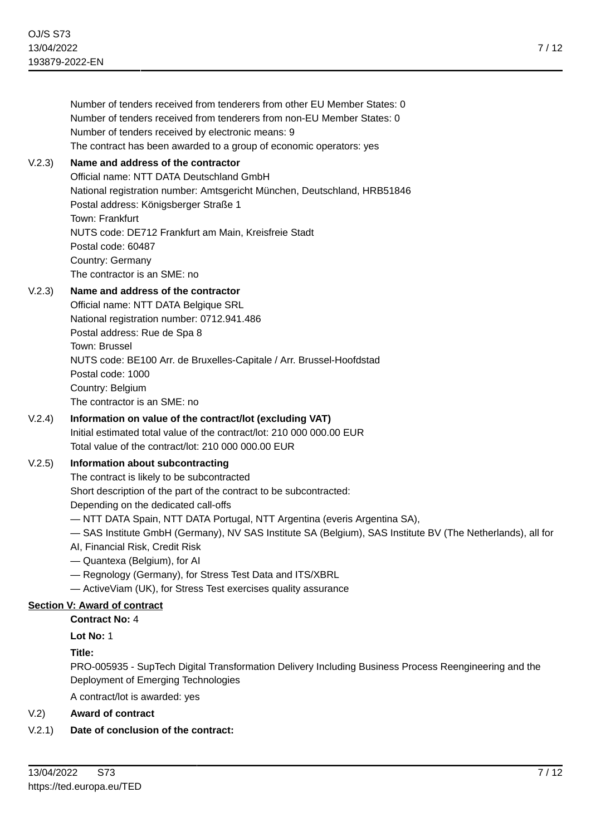|        | Number of tenders received from tenderers from other EU Member States: 0<br>Number of tenders received from tenderers from non-EU Member States: 0<br>Number of tenders received by electronic means: 9<br>The contract has been awarded to a group of economic operators: yes                                                                                                                                                                                                                                                                                                            |
|--------|-------------------------------------------------------------------------------------------------------------------------------------------------------------------------------------------------------------------------------------------------------------------------------------------------------------------------------------------------------------------------------------------------------------------------------------------------------------------------------------------------------------------------------------------------------------------------------------------|
| V.2.3) | Name and address of the contractor<br>Official name: NTT DATA Deutschland GmbH<br>National registration number: Amtsgericht München, Deutschland, HRB51846<br>Postal address: Königsberger Straße 1<br>Town: Frankfurt<br>NUTS code: DE712 Frankfurt am Main, Kreisfreie Stadt<br>Postal code: 60487<br>Country: Germany<br>The contractor is an SME: no                                                                                                                                                                                                                                  |
| V.2.3) | Name and address of the contractor<br>Official name: NTT DATA Belgique SRL<br>National registration number: 0712.941.486<br>Postal address: Rue de Spa 8<br>Town: Brussel<br>NUTS code: BE100 Arr. de Bruxelles-Capitale / Arr. Brussel-Hoofdstad<br>Postal code: 1000<br>Country: Belgium<br>The contractor is an SME: no                                                                                                                                                                                                                                                                |
| V.2.4) | Information on value of the contract/lot (excluding VAT)<br>Initial estimated total value of the contract/lot: 210 000 000.00 EUR<br>Total value of the contract/lot: 210 000 000.00 EUR                                                                                                                                                                                                                                                                                                                                                                                                  |
| V.2.5) | Information about subcontracting<br>The contract is likely to be subcontracted<br>Short description of the part of the contract to be subcontracted:<br>Depending on the dedicated call-offs<br>- NTT DATA Spain, NTT DATA Portugal, NTT Argentina (everis Argentina SA),<br>- SAS Institute GmbH (Germany), NV SAS Institute SA (Belgium), SAS Institute BV (The Netherlands), all for<br>AI, Financial Risk, Credit Risk<br>- Quantexa (Belgium), for Al<br>- Regnology (Germany), for Stress Test Data and ITS/XBRL<br>- Active Viam (UK), for Stress Test exercises quality assurance |
|        | <b>Section V: Award of contract</b>                                                                                                                                                                                                                                                                                                                                                                                                                                                                                                                                                       |
|        | <b>Contract No: 4</b>                                                                                                                                                                                                                                                                                                                                                                                                                                                                                                                                                                     |
|        | Lot No: 1                                                                                                                                                                                                                                                                                                                                                                                                                                                                                                                                                                                 |
|        | Title:                                                                                                                                                                                                                                                                                                                                                                                                                                                                                                                                                                                    |
|        | PRO-005935 - SupTech Digital Transformation Delivery Including Business Process Reengineering and the<br>Deployment of Emerging Technologies                                                                                                                                                                                                                                                                                                                                                                                                                                              |
|        | A contract/lot is awarded: yes                                                                                                                                                                                                                                                                                                                                                                                                                                                                                                                                                            |

## V.2) **Award of contract**

## V.2.1) **Date of conclusion of the contract:**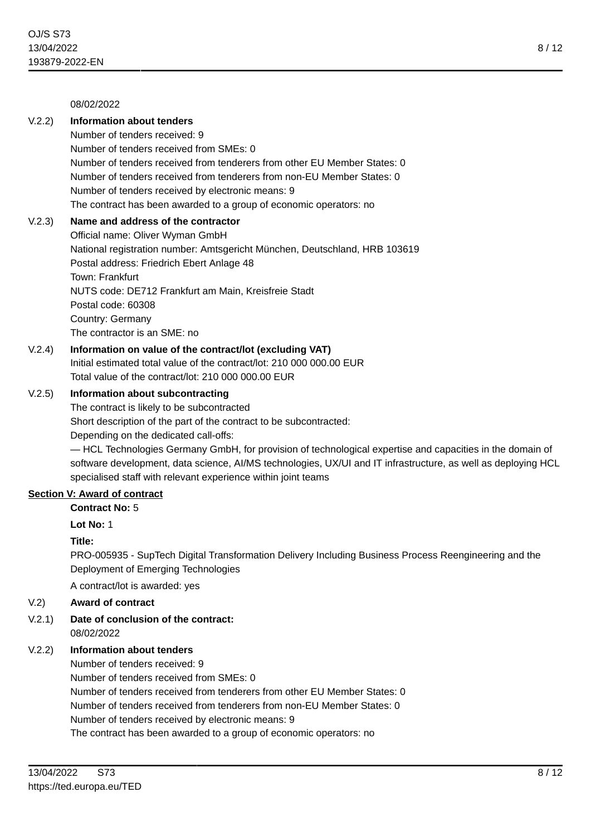### 08/02/2022

## V.2.2) **Information about tenders**

Number of tenders received: 9 Number of tenders received from SMEs: 0 Number of tenders received from tenderers from other EU Member States: 0 Number of tenders received from tenderers from non-EU Member States: 0 Number of tenders received by electronic means: 9 The contract has been awarded to a group of economic operators: no

### V.2.3) **Name and address of the contractor**

Official name: Oliver Wyman GmbH National registration number: Amtsgericht München, Deutschland, HRB 103619 Postal address: Friedrich Ebert Anlage 48 Town: Frankfurt NUTS code: DE712 Frankfurt am Main, Kreisfreie Stadt Postal code: 60308 Country: Germany The contractor is an SME: no

## V.2.4) **Information on value of the contract/lot (excluding VAT)**

Initial estimated total value of the contract/lot: 210 000 000.00 EUR Total value of the contract/lot: 210 000 000.00 EUR

### V.2.5) **Information about subcontracting**

The contract is likely to be subcontracted Short description of the part of the contract to be subcontracted: Depending on the dedicated call-offs:

— HCL Technologies Germany GmbH, for provision of technological expertise and capacities in the domain of software development, data science, AI/MS technologies, UX/UI and IT infrastructure, as well as deploying HCL specialised staff with relevant experience within joint teams

### **Section V: Award of contract**

### **Contract No:** 5

**Lot No:** 1

### **Title:**

PRO-005935 - SupTech Digital Transformation Delivery Including Business Process Reengineering and the Deployment of Emerging Technologies

A contract/lot is awarded: yes

### V.2) **Award of contract**

V.2.1) **Date of conclusion of the contract:** 08/02/2022

### V.2.2) **Information about tenders**

Number of tenders received: 9

Number of tenders received from SMEs: 0 Number of tenders received from tenderers from other EU Member States: 0 Number of tenders received from tenderers from non-EU Member States: 0 Number of tenders received by electronic means: 9 The contract has been awarded to a group of economic operators: no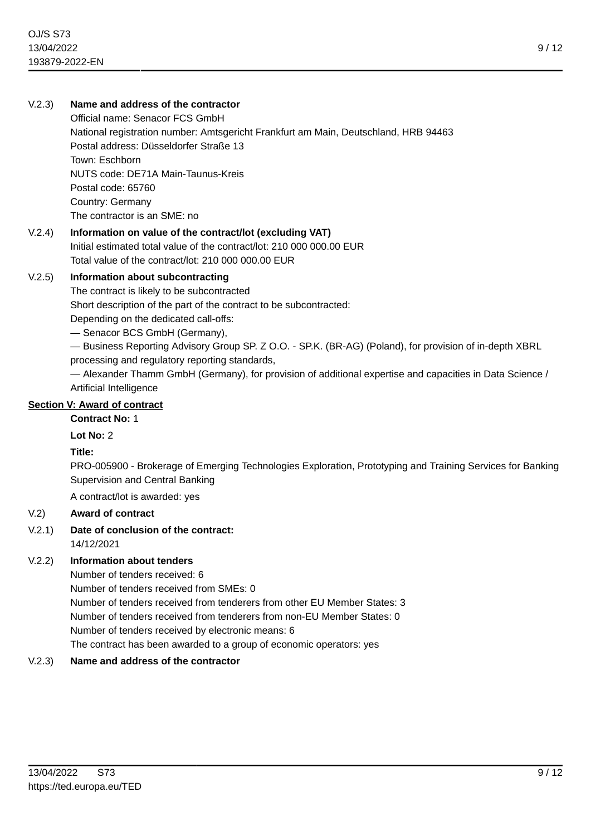### V.2.3) **Name and address of the contractor**

Official name: Senacor FCS GmbH National registration number: Amtsgericht Frankfurt am Main, Deutschland, HRB 94463 Postal address: Düsseldorfer Straße 13 Town: Eschborn NUTS code: DE71A Main-Taunus-Kreis Postal code: 65760 Country: Germany The contractor is an SME: no

## V.2.4) **Information on value of the contract/lot (excluding VAT)** Initial estimated total value of the contract/lot: 210 000 000.00 EUR

Total value of the contract/lot: 210 000 000.00 EUR

### V.2.5) **Information about subcontracting**

The contract is likely to be subcontracted

Short description of the part of the contract to be subcontracted:

Depending on the dedicated call-offs:

— Senacor BCS GmbH (Germany),

— Business Reporting Advisory Group SP. Z O.O. - SP.K. (BR-AG) (Poland), for provision of in-depth XBRL processing and regulatory reporting standards,

— Alexander Thamm GmbH (Germany), for provision of additional expertise and capacities in Data Science / Artificial Intelligence

### **Section V: Award of contract**

### **Contract No:** 1

**Lot No:** 2

**Title:**

PRO-005900 - Brokerage of Emerging Technologies Exploration, Prototyping and Training Services for Banking Supervision and Central Banking

A contract/lot is awarded: yes

## V.2) **Award of contract**

## V.2.1) **Date of conclusion of the contract:**

14/12/2021

## V.2.2) **Information about tenders**

Number of tenders received: 6 Number of tenders received from SMEs: 0 Number of tenders received from tenderers from other EU Member States: 3 Number of tenders received from tenderers from non-EU Member States: 0 Number of tenders received by electronic means: 6 The contract has been awarded to a group of economic operators: yes

## V.2.3) **Name and address of the contractor**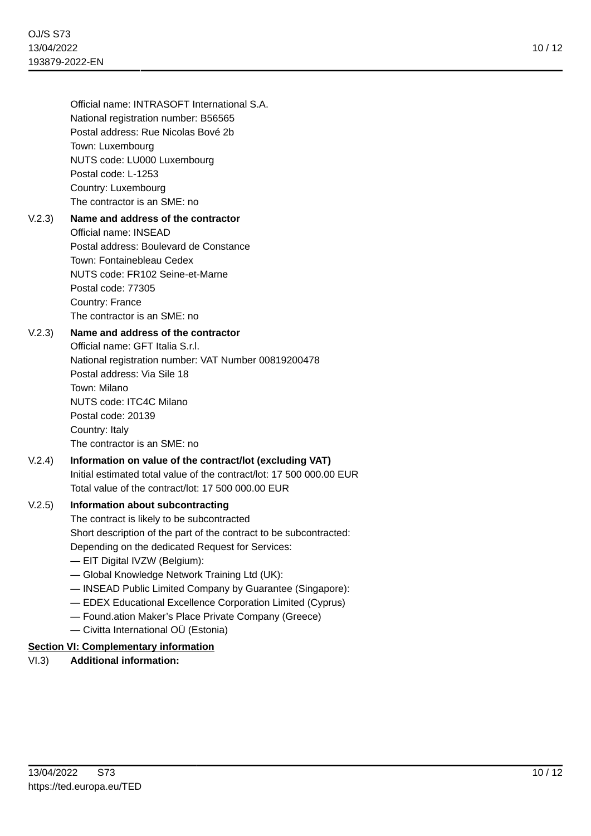Official name: INTRASOFT International S.A. National registration number: B56565 Postal address: Rue Nicolas Bové 2b Town: Luxembourg NUTS code: LU000 Luxembourg Postal code: L-1253 Country: Luxembourg The contractor is an SME: no

## V.2.3) **Name and address of the contractor** Official name: INSEAD Postal address: Boulevard de Constance Town: Fontainebleau Cedex NUTS code: FR102 Seine-et-Marne Postal code: 77305 Country: France The contractor is an SME: no

## V.2.3) **Name and address of the contractor**

Official name: GFT Italia S.r.l. National registration number: VAT Number 00819200478 Postal address: Via Sile 18 Town: Milano NUTS code: ITC4C Milano Postal code: 20139 Country: Italy The contractor is an SME: no

V.2.4) **Information on value of the contract/lot (excluding VAT)** Initial estimated total value of the contract/lot: 17 500 000.00 EUR Total value of the contract/lot: 17 500 000.00 EUR

### V.2.5) **Information about subcontracting**

The contract is likely to be subcontracted Short description of the part of the contract to be subcontracted: Depending on the dedicated Request for Services:

- EIT Digital IVZW (Belgium):
- Global Knowledge Network Training Ltd (UK):
- INSEAD Public Limited Company by Guarantee (Singapore):
- EDEX Educational Excellence Corporation Limited (Cyprus)
- Found.ation Maker's Place Private Company (Greece)
- Civitta International OÜ (Estonia)

## **Section VI: Complementary information**

## VI.3) **Additional information:**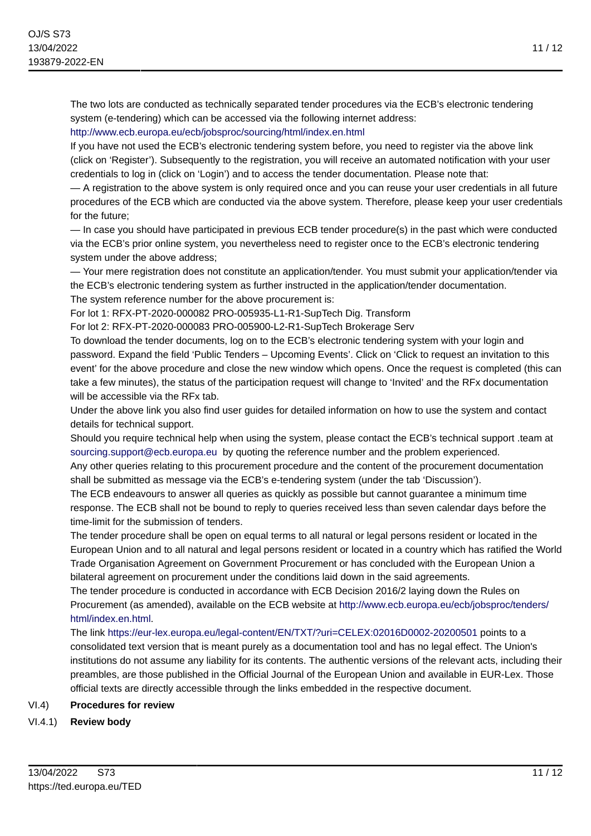The two lots are conducted as technically separated tender procedures via the ECB's electronic tendering system (e-tendering) which can be accessed via the following internet address:

### <http://www.ecb.europa.eu/ecb/jobsproc/sourcing/html/index.en.html>

If you have not used the ECB's electronic tendering system before, you need to register via the above link (click on 'Register'). Subsequently to the registration, you will receive an automated notification with your user credentials to log in (click on 'Login') and to access the tender documentation. Please note that:

— A registration to the above system is only required once and you can reuse your user credentials in all future procedures of the ECB which are conducted via the above system. Therefore, please keep your user credentials for the future;

— In case you should have participated in previous ECB tender procedure(s) in the past which were conducted via the ECB's prior online system, you nevertheless need to register once to the ECB's electronic tendering system under the above address;

— Your mere registration does not constitute an application/tender. You must submit your application/tender via the ECB's electronic tendering system as further instructed in the application/tender documentation.

The system reference number for the above procurement is:

For lot 1: RFX-PT-2020-000082 PRO-005935-L1-R1-SupTech Dig. Transform

For lot 2: RFX-PT-2020-000083 PRO-005900-L2-R1-SupTech Brokerage Serv

To download the tender documents, log on to the ECB's electronic tendering system with your login and password. Expand the field 'Public Tenders – Upcoming Events'. Click on 'Click to request an invitation to this event' for the above procedure and close the new window which opens. Once the request is completed (this can take a few minutes), the status of the participation request will change to 'Invited' and the RFx documentation will be accessible via the RF<sub>x</sub> tab.

Under the above link you also find user guides for detailed information on how to use the system and contact details for technical support.

Should you require technical help when using the system, please contact the ECB's technical support .team at [sourcing.support@ecb.europa.eu](mailto:sourcing.support@ecb.europa.eu) by quoting the reference number and the problem experienced.

Any other queries relating to this procurement procedure and the content of the procurement documentation shall be submitted as message via the ECB's e-tendering system (under the tab 'Discussion').

The ECB endeavours to answer all queries as quickly as possible but cannot guarantee a minimum time response. The ECB shall not be bound to reply to queries received less than seven calendar days before the time-limit for the submission of tenders.

The tender procedure shall be open on equal terms to all natural or legal persons resident or located in the European Union and to all natural and legal persons resident or located in a country which has ratified the World Trade Organisation Agreement on Government Procurement or has concluded with the European Union a bilateral agreement on procurement under the conditions laid down in the said agreements.

The tender procedure is conducted in accordance with ECB Decision 2016/2 laying down the Rules on Procurement (as amended), available on the ECB website at [http://www.ecb.europa.eu/ecb/jobsproc/tenders/](http://www.ecb.europa.eu/ecb/jobsproc/tenders/html/index.en.html) [html/index.en.html.](http://www.ecb.europa.eu/ecb/jobsproc/tenders/html/index.en.html)

The link <https://eur-lex.europa.eu/legal-content/EN/TXT/?uri=CELEX:02016D0002-20200501> points to a consolidated text version that is meant purely as a documentation tool and has no legal effect. The Union's institutions do not assume any liability for its contents. The authentic versions of the relevant acts, including their preambles, are those published in the Official Journal of the European Union and available in EUR-Lex. Those official texts are directly accessible through the links embedded in the respective document.

### VI.4) **Procedures for review**

VI.4.1) **Review body**